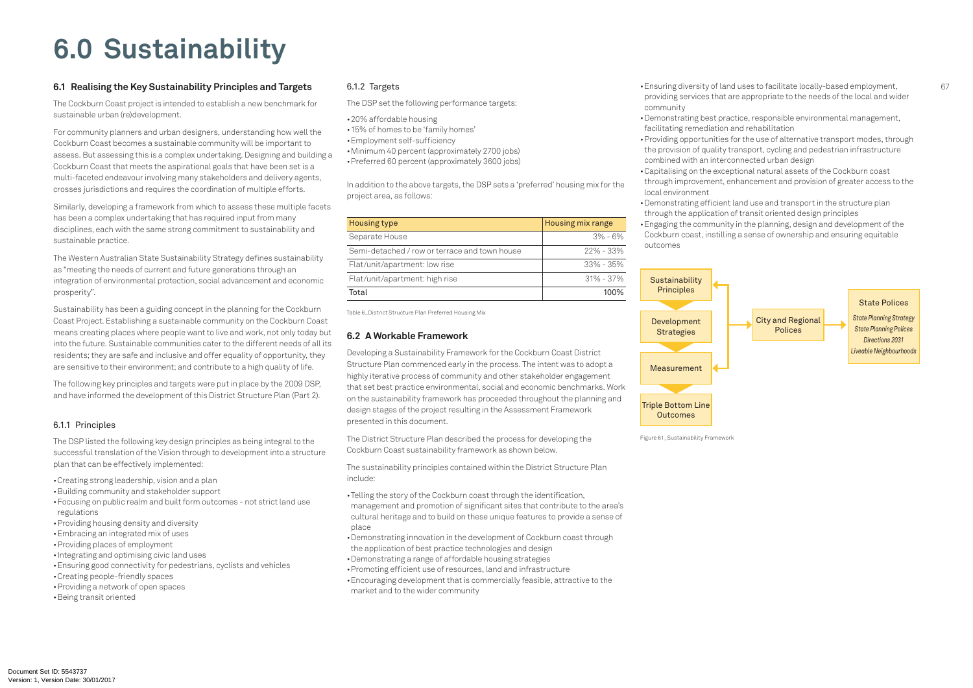## **6.0 Sustainability**

#### **6.1 Realising the Key Sustainability Principles and Targets**

The Cockburn Coast project is intended to establish a new benchmark for sustainable urban (re)development.

For community planners and urban designers, understanding how well the Cockburn Coast becomes a sustainable community will be important to assess. But assessing this is a complex undertaking. Designing and building a Cockburn Coast that meets the aspirational goals that have been set is a multi-faceted endeavour involving many stakeholders and delivery agents, crosses jurisdictions and requires the coordination of multiple efforts.

Similarly, developing a framework from which to assess these multiple facets has been a complex undertaking that has required input from many disciplines, each with the same strong commitment to sustainability and sustainable practice.

The Western Australian State Sustainability Strategy defines sustainability as "meeting the needs of current and future generations through an integration of environmental protection, social advancement and economic prosperity".

Sustainability has been a guiding concept in the planning for the Cockburn Coast Project. Establishing a sustainable community on the Cockburn Coast means creating places where people want to live and work, not only today but into the future. Sustainable communities cater to the different needs of all its residents; they are safe and inclusive and offer equality of opportunity, they are sensitive to their environment; and contribute to a high quality of life.

The following key principles and targets were put in place by the 2009 DSP, and have informed the development of this District Structure Plan (Part 2).

#### 6.1.1 Principles

The DSP listed the following key design principles as being integral to the successful translation of the Vision through to development into a structure plan that can be effectively implemented:

• Creating strong leadership, vision and a plan

- Telling the story of the Cockburn coast through the identification,
- management and promotion of significant sites that contribute to the area's cultural heritage and to build on these unique features to provide a sense of place
- • Demonstrating innovation in the development of Cockburn coast through the application of best practice technologies and design
- Demonstrating a range of affordable housing strategies
- • Promoting efficient use of resources, land and infrastructure
- Encouraging development that is commercially feasible, attractive to the market and to the wider community
- • Building community and stakeholder support
- Focusing on public realm and built form outcomes not strict land use regulations
- Providing housing density and diversity
- Embracing an integrated mix of uses
- Providing places of employment
- Integrating and optimising civic land uses
- Ensuring good connectivity for pedestrians, cyclists and vehicles
- • Creating people-friendly spaces
- Providing a network of open spaces
- • Being transit oriented

• Ensuring diversity of land uses to facilitate locally-based employment, providing services that are appropriate to the needs of the local and wider

#### 6.1.2 Targets

The DSP set the following performance targets:

- 20% affordable housing
- 15% of homes to be 'family homes'
- • Employment self-sufficiency
- • Minimum 40 percent (approximately 2700 jobs)
- Preferred 60 percent (approximately 3600 jobs)

In addition to the above targets, the DSP sets a 'preferred' housing mix for the project area, as follows:

| Housing type                                  | Housing mix range |  |  |  |
|-----------------------------------------------|-------------------|--|--|--|
| Separate House                                | $3\%$ - 6%        |  |  |  |
| Semi-detached / row or terrace and town house | $22\% - 33\%$     |  |  |  |
| Flat/unit/apartment: low rise                 | $33\%$ - 35%      |  |  |  |
| Flat/unit/apartment: high rise                | $31\% - 37\%$     |  |  |  |
| Total                                         | 100%              |  |  |  |

### **6.2 A Workable Framework**

Developing a Sustainability Framework for the Cockburn Coast District Structure Plan commenced early in the process. The intent was to adopt a highly iterative process of community and other stakeholder engagement that set best practice environmental, social and economic benchmarks. Work on the sustainability framework has proceeded throughout the planning and design stages of the project resulting in the Assessment Framework presented in this document.

The District Structure Plan described the process for developing the Cockburn Coast sustainability framework as shown below.

The sustainability principles contained within the District Structure Plan include:

- community
- Demonstrating best practice, responsible environmental management, facilitating remediation and rehabilitation
- Providing opportunities for the use of alternative transport modes, through the provision of quality transport, cycling and pedestrian infrastructure combined with an interconnected urban design
- • Capitalising on the exceptional natural assets of the Cockburn coast through improvement, enhancement and provision of greater access to the local environment
- Demonstrating efficient land use and transport in the structure plan through the application of transit oriented design principles
- Engaging the community in the planning, design and development of the Cockburn coast, instilling a sense of ownership and ensuring equitable outcomes



#### State Polices



*State Planning Strategy State Planning Polices Directions 2031 Liveable Neighbourhoods*

Table 6\_District Structure Plan Preferred Housing Mix

Figure 61\_Sustainability Framework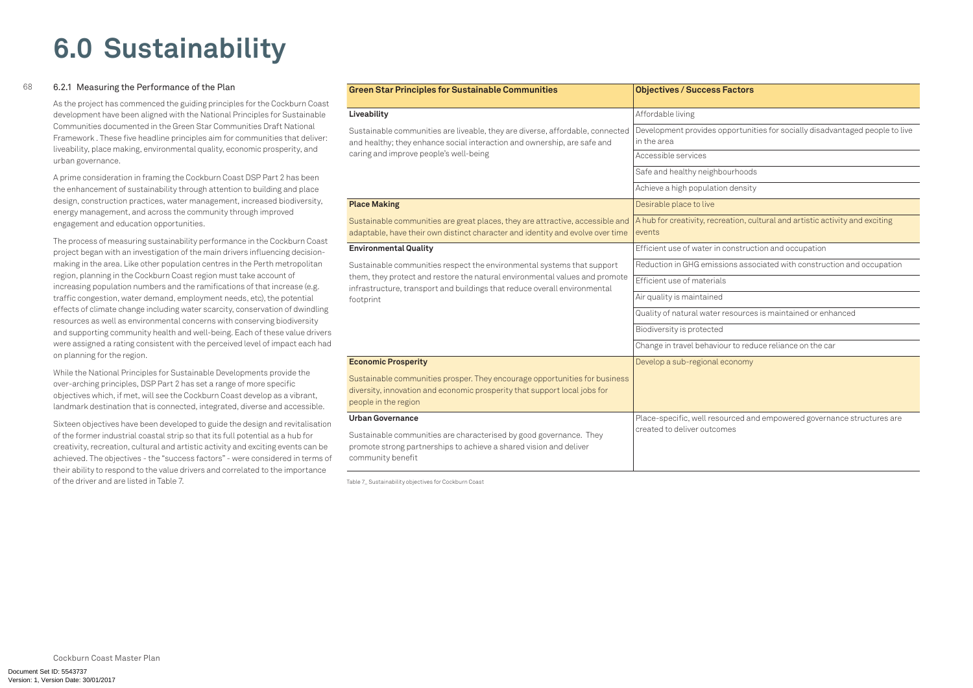Document Set ID: 5543737<br>Version: 1, Version Date: 30/01/2017

ortunities for socially disadvantaged people to live

hoods

ensity

ion, cultural and artistic activity and exciting

istruction and occupation

s associated with construction and occupation

ources is maintained or enhanced

to reduce reliance on the car

homy

ed and empowered governance structures are

## **6.0 Sustainability**

#### 68 6.2.1 Measuring the Performance of the Plan

As the project has commenced the guiding principles for the Cockburn Coast development have been aligned with the National Principles for Sustainable Communities documented in the Green Star Communities Draft National Framework . These five headline principles aim for communities that deliver: liveability, place making, environmental quality, economic prosperity, and urban governance.

A prime consideration in framing the Cockburn Coast DSP Part 2 has been the enhancement of sustainability through attention to building and place design, construction practices, water management, increased biodiversity, energy management, and across the community through improved engagement and education opportunities.

The process of measuring sustainability performance in the Cockburn Coast project began with an investigation of the main drivers influencing decisionmaking in the area. Like other population centres in the Perth metropolitan region, planning in the Cockburn Coast region must take account of increasing population numbers and the ramifications of that increase (e.g. traffic congestion, water demand, employment needs, etc), the potential effects of climate change including water scarcity, conservation of dwindling resources as well as environmental concerns with conserving biodiversity and supporting community health and well-being. Each of these value drivers were assigned a rating consistent with the perceived level of impact each had on planning for the region.

While the National Principles for Sustainable Developments provide the over-arching principles, DSP Part 2 has set a range of more specific objectives which, if met, will see the Cockburn Coast develop as a vibrant, landmark destination that is connected, integrated, diverse and accessible.

Sixteen objectives have been developed to guide the design and revitalisation of the former industrial coastal strip so that its full potential as a hub for creativity, recreation, cultural and artistic activity and exciting events can be achieved. The objectives - the "success factors" - were considered in terms of their ability to respond to the value drivers and correlated to the importance of the driver and are listed in Table 7.

| <b>Green Star Principles for Sustainable Communities</b>                                                                                                                        | <b>Objectives / Success Factors</b>            |  |  |  |
|---------------------------------------------------------------------------------------------------------------------------------------------------------------------------------|------------------------------------------------|--|--|--|
| Liveability                                                                                                                                                                     | Affordable living                              |  |  |  |
| Sustainable communities are liveable, they are diverse, affordable, connected<br>and healthy; they enhance social interaction and ownership, are safe and                       | Development provides opportuni<br>in the area  |  |  |  |
| caring and improve people's well-being                                                                                                                                          | Accessible services                            |  |  |  |
|                                                                                                                                                                                 | Safe and healthy neighbourhood                 |  |  |  |
|                                                                                                                                                                                 | Achieve a high population densit               |  |  |  |
| <b>Place Making</b>                                                                                                                                                             | Desirable place to live                        |  |  |  |
| Sustainable communities are great places, they are attractive, accessible and<br>adaptable, have their own distinct character and identity and evolve over time                 | A hub for creativity, recreation, cr<br>events |  |  |  |
| <b>Environmental Quality</b>                                                                                                                                                    | Efficient use of water in construc             |  |  |  |
| Sustainable communities respect the environmental systems that support                                                                                                          | Reduction in GHG emissions asso                |  |  |  |
| them, they protect and restore the natural environmental values and promote<br>infrastructure, transport and buildings that reduce overall environmental                        | Efficient use of materials                     |  |  |  |
| footprint                                                                                                                                                                       | Air quality is maintained                      |  |  |  |
|                                                                                                                                                                                 | Quality of natural water resource              |  |  |  |
|                                                                                                                                                                                 | Biodiversity is protected                      |  |  |  |
|                                                                                                                                                                                 | Change in travel behaviour to red              |  |  |  |
| <b>Economic Prosperity</b>                                                                                                                                                      | Develop a sub-regional economy                 |  |  |  |
| Sustainable communities prosper. They encourage opportunities for business<br>diversity, innovation and economic prosperity that support local jobs for<br>people in the region |                                                |  |  |  |
| <b>Urban Governance</b>                                                                                                                                                         | Place-specific, well resourced ar              |  |  |  |
| Sustainable communities are characterised by good governance. They<br>promote strong partnerships to achieve a shared vision and deliver<br>community benefit                   | created to deliver outcomes                    |  |  |  |

Table 7\_ Sustainability objectives for Cockburn Coast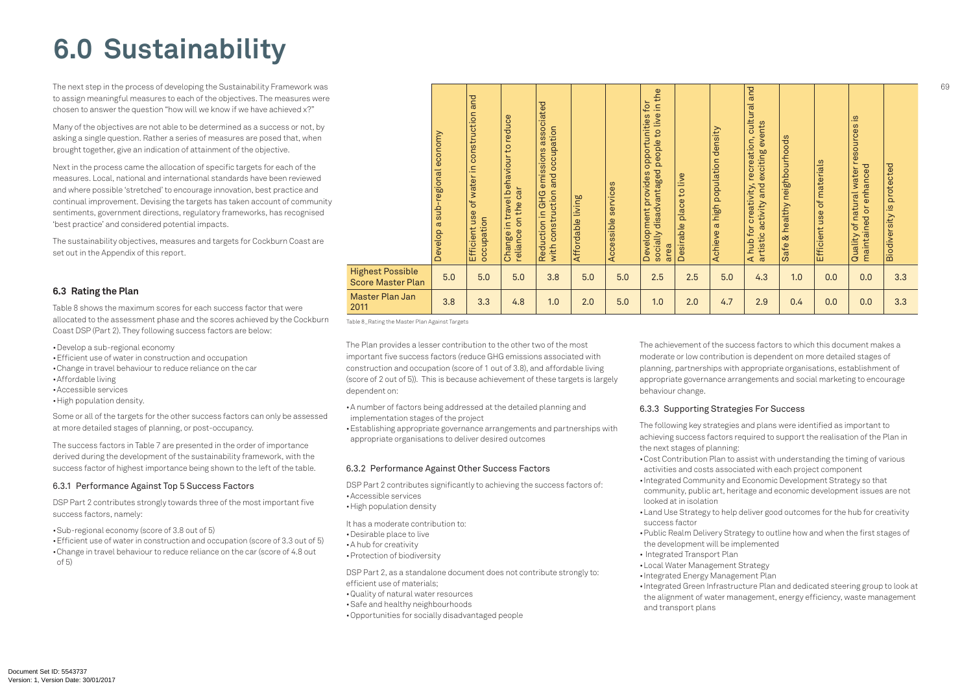# **6.0 Sustainability**

The next step in the process of developing the Sustainability Framework was to assign meaningful measures to each of the objectives. The measures were chosen to answer the question "how will we know if we have achieved x?"

Many of the objectives are not able to be determined as a success or not, by asking a single question. Rather a series of measures are posed that, when brought together, give an indication of attainment of the objective.

- • Develop a sub-regional economy
- Efficient use of water in construction and occupation
- Change in travel behaviour to reduce reliance on the car
- • Affordable living
- • Accessible services
- High population density.

Next in the process came the allocation of specific targets for each of the measures. Local, national and international standards have been reviewed and where possible 'stretched' to encourage innovation, best practice and continual improvement. Devising the targets has taken account of community sentiments, government directions, regulatory frameworks, has recognised 'best practice' and considered potential impacts.

The sustainability objectives, measures and targets for Cockburn Coast are set out in the Appendix of this report.

#### **6.3 Rating the Plan**

• Efficient use of water in construction and occupation (score of 3.3 out of 5) • Change in travel behaviour to reduce reliance on the car (score of 4.8 out of 5)

Table 8 shows the maximum scores for each success factor that were allocated to the assessment phase and the scores achieved by the Cockburn Coast DSP (Part 2). They following success factors are below:

- A number of factors being addressed at the detailed planning and implementation stages of the project
- Establishing appropriate governance arrangements and partnerships with appropriate organisations to deliver desired outcomes

Some or all of the targets for the other success factors can only be assessed at more detailed stages of planning, or post-occupancy.

The success factors in Table 7 are presented in the order of importance derived during the development of the sustainability framework, with the success factor of highest importance being shown to the left of the table.

#### 6.3.1 Performance Against Top 5 Success Factors

DSP Part 2 contributes strongly towards three of the most important five success factors, namely:

• Sub-regional economy (score of 3.8 out of 5)

• Integrated Green Infrastructure Plan and dedicated steering group to look at the alignment of water management, energy efficiency, waste management

The Plan provides a lesser contribution to the other two of the most important five success factors (reduce GHG emissions associated with construction and occupation (score of 1 out of 3.8), and affordable living (score of 2 out of 5)). This is because achievement of these targets is largely dependent on:

#### 6.3.2 Performance Against Other Success Factors

DSP Part 2 contributes significantly to achieving the success factors of: • Accessible services

• High population density

It has a moderate contribution to:

- • Desirable place to live
- • A hub for creativity
- • Protection of biodiversity

DSP Part 2, as a standalone document does not contribute strongly to: efficient use of materials;

- • Quality of natural water resources
- Safe and healthy neighbourhoods
- • Opportunities for socially disadvantaged people

The achievement of the success factors to which this document makes a moderate or low contribution is dependent on more detailed stages of planning, partnerships with appropriate organisations, establishment of appropriate governance arrangements and social marketing to encourage behaviour change.

### 6.3.3 Supporting Strategies For Success

The following key strategies and plans were identified as important to achieving success factors required to support the realisation of the Plan in the next stages of planning: • Cost Contribution Plan to assist with understanding the timing of various activities and costs associated with each project component

community, public art, heritage and economic development issues are not

• Land Use Strategy to help deliver good outcomes for the hub for creativity

• Public Realm Delivery Strategy to outline how and when the first stages of

- looked at in isolation
- success factor
- the development will be implemented
- Integrated Transport Plan
- • Local Water Management Strategy
- • Integrated Energy Management Plan
	- and transport plans

• Integrated Community and Economic Development Strategy so that

|                                                     | economy<br>-regional<br>sub-<br>Φ<br>Develop | and<br>construction<br>of water in<br>use<br>occupation<br>Efficient | reduce<br>$\mathsf{C}$<br>travel behaviour<br>reliance on the car<br>$\equiv$<br>Change | emissions associated<br>occupation<br>and<br>with construction<br>Reduction in GHG | Affordable living | services<br>Accessible | to live in the<br>for<br>opportunities<br>disadvantaged people<br>provides<br>Development<br>socially<br>area | live<br>$\overline{c}$<br>place<br><b>Desirable</b> | a high population density<br>Achieve | and<br>cultural<br>exciting events<br>recreation,<br>artistic activity and<br>creativity,<br>A hub for | neighbourhoods<br>healthy<br>చ<br>Safe | Efficient use of materials | $\frac{2}{3}$<br>resources<br>enhanced<br>of natural water<br>ð<br>maintained<br>Quality | protected<br>$\overline{\mathbf{S}}$<br>Biodiversity |
|-----------------------------------------------------|----------------------------------------------|----------------------------------------------------------------------|-----------------------------------------------------------------------------------------|------------------------------------------------------------------------------------|-------------------|------------------------|---------------------------------------------------------------------------------------------------------------|-----------------------------------------------------|--------------------------------------|--------------------------------------------------------------------------------------------------------|----------------------------------------|----------------------------|------------------------------------------------------------------------------------------|------------------------------------------------------|
| <b>Highest Possible</b><br><b>Score Master Plan</b> | 5.0                                          | 5.0                                                                  | 5.0                                                                                     | 3.8                                                                                | 5.0               | 5.0                    | 2.5                                                                                                           | 2.5                                                 | 5.0                                  | 4.3                                                                                                    | 1.0                                    | 0.0                        | 0.0                                                                                      | 3.3                                                  |
| Master Plan Jan<br>2011                             | 3.8                                          | 3.3                                                                  | 4.8                                                                                     | 1.0                                                                                | 2.0               | 5.0                    | 1.0                                                                                                           | 2.0                                                 | 4.7                                  | 2.9                                                                                                    | 0.4                                    | 0.0                        | 0.0                                                                                      | 3.3                                                  |

Table 8\_Rating the Master Plan Against Targets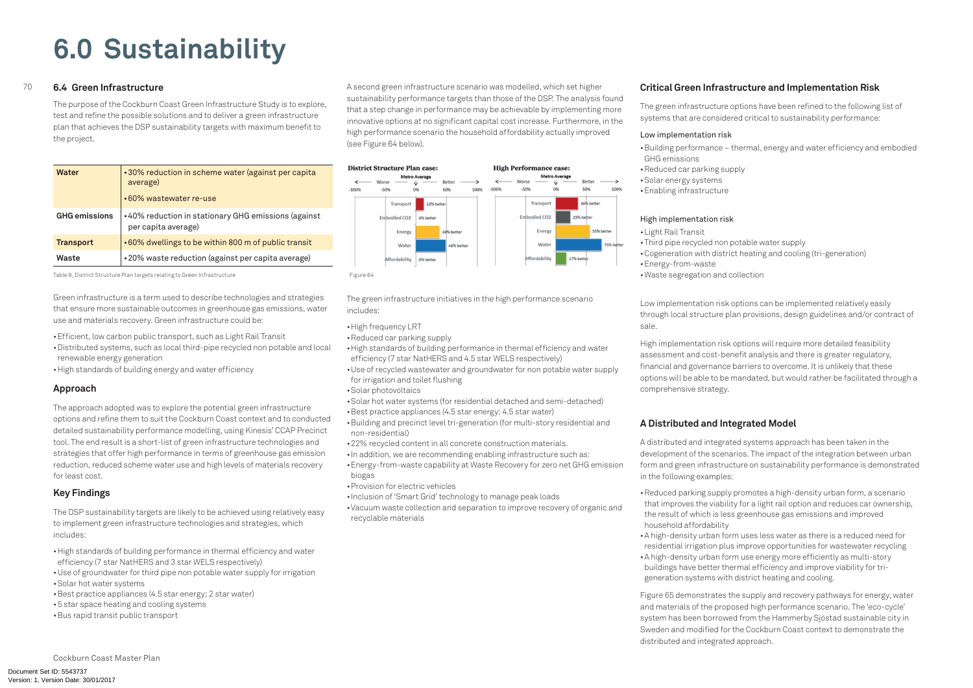Cockburn Coast Master Plan

• Building performance – thermal, energy and water efficiency and embodied

#### 70 **6.4 Green Infrastructure**

The purpose of the Cockburn Coast Green Infrastructure Study is to explore, test and refine the possible solutions and to deliver a green infrastructure plan that achieves the DSP sustainability targets with maximum benefit to the project.

| Water                | •30% reduction in scheme water (against per capita<br>average)<br>•60% wastewater re-use |
|----------------------|------------------------------------------------------------------------------------------|
| <b>GHG emissions</b> | •40% reduction in stationary GHG emissions (against<br>per capita average)               |
| <b>Transport</b>     | .60% dwellings to be within 800 m of public transit                                      |
| Waste                | •20% waste reduction (against per capita average)                                        |

Table 9\_District Structure Plan targets relating to Green Infrastructure Figure 64

Green infrastructure is a term used to describe technologies and strategies that ensure more sustainable outcomes in greenhouse gas emissions, water use and materials recovery. Green infrastructure could be:

- Efficient, low carbon public transport, such as Light Rail Transit
- • Distributed systems, such as local third-pipe recycled non potable and local renewable energy generation
- High standards of building energy and water efficiency

#### **Approach**

The approach adopted was to explore the potential green infrastructure options and refine them to suit the Cockburn Coast context and to conducted detailed sustainability performance modelling, using Kinesis' CCAP Precinct tool. The end result is a short-list of green infrastructure technologies and strategies that offer high performance in terms of greenhouse gas emission reduction, reduced scheme water use and high levels of materials recovery for least cost.

#### **Key Findings**

The DSP sustainability targets are likely to be achieved using relatively easy to implement green infrastructure technologies and strategies, which includes:

- High standards of building performance in thermal efficiency and water efficiency (7 star NatHERS and 3 star WELS respectively)
- Use of groundwater for third pipe non potable water supply for irrigation • Solar hot water systems
- • Best practice appliances (4.5 star energy; 2 star water)
- 5 star space heating and cooling systems
- Bus rapid transit public transport
- High frequency LRT
- • Reduced car parking supply
- High standards of building performance in thermal efficiency and water efficiency (7 star NatHERS and 4.5 star WELS respectively)
- Use of recycled wastewater and groundwater for non potable water supply for irrigation and toilet flushing
- • Solar photovoltaics
- • Solar hot water systems (for residential detached and semi-detached)
- Best practice appliances (4.5 star energy; 4.5 star water)
- • Building and precinct level tri-generation (for multi-story residential and non-residential)
- 22% recycled content in all concrete construction materials.
- In addition, we are recommending enabling infrastructure such as:
- Energy-from-waste capability at Waste Recovery for zero net GHG emission biogas
- • Provision for electric vehicles
- Inclusion of 'Smart Grid' technology to manage peak loads
- • Vacuum waste collection and separation to improve recovery of organic and recyclable materials

A second green infrastructure scenario was modelled, which set higher sustainability performance targets than those of the DSP. The analysis found that a step change in performance may be achievable by implementing more innovative options at no significant capital cost increase. Furthermore, in the high performance scenario the household affordability actually improved (see Figure 64 below).



The green infrastructure initiatives in the high performance scenario includes:

> • Reduced parking supply promotes a high-density urban form, a scenario that improves the viability for a light rail option and reduces car ownership, the result of which is less greenhouse gas emissions and improved

#### **Critical Green Infrastructure and Implementation Risk**

The green infrastructure options have been refined to the following list of systems that are considered critical to sustainability performance:

#### Low implementation risk

- GHG emissions
- Reduced car parking supply
- • Solar energy systems
- • Enabling infrastructure

#### High implementation risk

- • Light Rail Transit
- • Third pipe recycled non potable water supply
- 
- Energy-from-waste
- • Waste segregation and collection

• Cogeneration with district heating and cooling (tri-generation)

Low implementation risk options can be implemented relatively easily through local structure plan provisions, design guidelines and/or contract of

sale.

High implementation risk options will require more detailed feasibility assessment and cost-benefit analysis and there is greater regulatory, financial and governance barriers to overcome. It is unlikely that these options will be able to be mandated, but would rather be facilitated through a comprehensive strategy.

### **A Distributed and Integrated Model**

A distributed and integrated systems approach has been taken in the development of the scenarios. The impact of the integration between urban form and green infrastructure on sustainability performance is demonstrated in the following examples:

- household affordability
- 
- 

• A high-density urban form uses less water as there is a reduced need for residential irrigation plus improve opportunities for wastewater recycling • A high-density urban form use energy more efficiently as multi-story buildings have better thermal efficiency and improve viability for trigeneration systems with district heating and cooling.

Figure 65 demonstrates the supply and recovery pathways for energy, water and materials of the proposed high performance scenario. The 'eco-cycle' system has been borrowed from the Hammerby Sjöstad sustainable city in Sweden and modified for the Cockburn Coast context to demonstrate the distributed and integrated approach.

# **6.0 Sustainability**